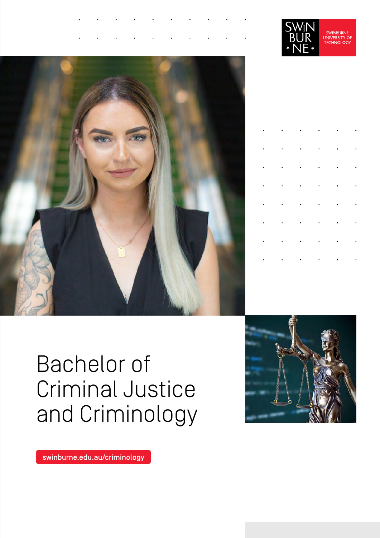





|  |  | $\label{eq:reduced} \begin{split} \mathbf{r} & = \mathbf{r} \cdot \mathbf{r} + \mathbf{r} \cdot \mathbf{r} + \mathbf{r} \cdot \mathbf{r} + \mathbf{r} \cdot \mathbf{r} + \mathbf{r} \cdot \mathbf{r} + \mathbf{r} \cdot \mathbf{r} + \mathbf{r} \cdot \mathbf{r} + \mathbf{r} \cdot \mathbf{r} + \mathbf{r} \cdot \mathbf{r} + \mathbf{r} \cdot \mathbf{r} + \mathbf{r} \cdot \mathbf{r} + \mathbf{r} \cdot \mathbf{r} + \mathbf{r} \cdot \mathbf{r} + \mathbf{$ |  |
|--|--|------------------------------------------------------------------------------------------------------------------------------------------------------------------------------------------------------------------------------------------------------------------------------------------------------------------------------------------------------------------------------------------------------------------------------------------------------------------|--|
|  |  | $\label{eq:reduced} \begin{array}{lllllllllllllllll} \mathbf{1}_{\mathbf{1}_{\mathbf{1}_{\mathbf{1}_{\mathbf{1}_{\mathbf{1}_{\mathbf{1}}}}\mathbf{1}_{\mathbf{1}_{\mathbf{1}}\mathbf{1}_{\mathbf{1}}\mathbf{1}_{\mathbf{1}}\mathbf{1}_{\mathbf{1}}\mathbf{1}_{\mathbf{1}_{\mathbf{1}}\mathbf{1}_{\mathbf{1}}\mathbf{1}_{\mathbf{1}}\mathbf{1}_{\mathbf{1}}\mathbf{1}_{\mathbf{1}}\mathbf{1}_{\mathbf{1}}\mathbf{1}_{\mathbf{1}_{\mathbf{1}}\mathbf{$             |  |
|  |  | $\mathbf{r}^{\left(1\right)}$ , $\mathbf{r}^{\left(2\right)}$ , $\mathbf{r}^{\left(3\right)}$ , $\mathbf{r}^{\left(4\right)}$ , $\mathbf{r}^{\left(3\right)}$ , $\mathbf{r}^{\left(4\right)}$                                                                                                                                                                                                                                                                    |  |
|  |  | $\label{eq:reduced} \begin{array}{lllllllllllllllllll} \bullet & \bullet & \bullet & \bullet & \bullet & \bullet & \bullet \end{array} \quad \begin{array}{lllllllllllllllllllll} \bullet & \bullet & \bullet & \bullet & \bullet \end{array}$                                                                                                                                                                                                                   |  |
|  |  | $\label{eq:reduced} \begin{array}{lllllllllllllllll} \mathbf{1}_{\mathbf{1}_{\mathbf{1}_{\mathbf{1}_{\mathbf{1}_{\mathbf{1}_{\mathbf{1}}}}\mathbf{1}_{\mathbf{1}_{\mathbf{1}}\mathbf{1}_{\mathbf{1}}\mathbf{1}_{\mathbf{1}}\mathbf{1}_{\mathbf{1}}\mathbf{1}_{\mathbf{1}_{\mathbf{1}}\mathbf{1}_{\mathbf{1}}\mathbf{1}_{\mathbf{1}}\mathbf{1}_{\mathbf{1}}\mathbf{1}_{\mathbf{1}}\mathbf{1}_{\mathbf{1}}\mathbf{1}_{\mathbf{1}}\mathbf{1}_{\mathbf{$             |  |
|  |  | $\label{eq:reduced} \begin{array}{lllllllllllllllll} \mathbf{1}_{\mathbf{1}_{\mathbf{1}_{\mathbf{1}_{\mathbf{1}_{\mathbf{1}_{\mathbf{1}}}}\mathbf{1}_{\mathbf{1}_{\mathbf{1}}\mathbf{1}_{\mathbf{1}}\mathbf{1}_{\mathbf{1}}\mathbf{1}_{\mathbf{1}}\mathbf{1}_{\mathbf{1}_{\mathbf{1}}\mathbf{1}_{\mathbf{1}}\mathbf{1}_{\mathbf{1}}\mathbf{1}_{\mathbf{1}}\mathbf{1}_{\mathbf{1}}\mathbf{1}_{\mathbf{1}}\mathbf{1}_{\mathbf{1}}\mathbf{1}_{\mathbf{$             |  |
|  |  | $\mathbf{r}^{\prime}$ , and $\mathbf{r}^{\prime}$ , and $\mathbf{r}^{\prime}$ , and $\mathbf{r}^{\prime}$                                                                                                                                                                                                                                                                                                                                                        |  |
|  |  | $\label{eq:reduced} \begin{split} \mathbf{r} & = \mathbf{r} \cdot \mathbf{r} + \mathbf{r} \cdot \mathbf{r} + \mathbf{r} \cdot \mathbf{r} + \mathbf{r} \cdot \mathbf{r} + \mathbf{r} \cdot \mathbf{r} \end{split}$                                                                                                                                                                                                                                                |  |

# Bachelor of Criminal Justice and Criminology



[swinburne.edu.au/criminology](http://swinburne.edu.au/criminology)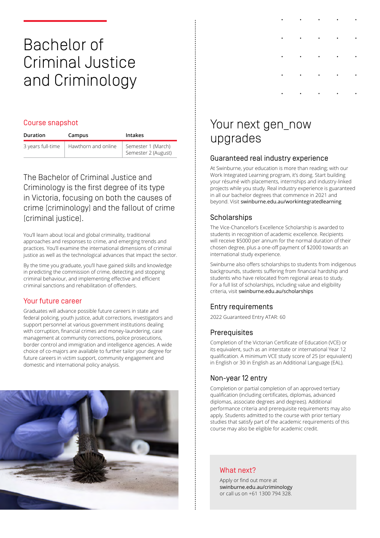## Bachelor of Criminal Justice and Criminology

### Course snapshot

| Duration          | Campus              | <b>Intakes</b>                            |
|-------------------|---------------------|-------------------------------------------|
| 3 years full-time | Hawthorn and online | Semester 1 (March)<br>Semester 2 (August) |

The Bachelor of Criminal Justice and Criminology is the first degree of its type in Victoria, focusing on both the causes of crime (criminology) and the fallout of crime (criminal justice).

You'll learn about local and global criminality, traditional approaches and responses to crime, and emerging trends and practices. You'll examine the international dimensions of criminal justice as well as the technological advances that impact the sector.

By the time you graduate, you'll have gained skills and knowledge in predicting the commission of crime, detecting and stopping criminal behaviour, and implementing effective and efficient criminal sanctions and rehabilitation of offenders.

### Your future career

Graduates will advance possible future careers in state and federal policing, youth justice, adult corrections, investigators and support personnel at various government institutions dealing with corruption, financial crimes and money-laundering, case management at community corrections, police prosecutions, border control and immigration and intelligence agencies. A wide choice of co-majors are available to further tailor your degree for future careers in victim support, community engagement and domestic and international policy analysis.



## Your next gen\_now upgrades

### Guaranteed real industry experience

At Swinburne, your education is more than reading; with our Work Integrated Learning program, it's doing. Start building your résumé with placements, internships and industry-linked projects while you study. Real industry experience is guaranteed in all our bachelor degrees that commence in 2021 and beyond. Visit [swinburne.edu.au/workintegratedlearning](http://swinburne.edu.au/workintegratedlearning)

### **Scholarships**

The Vice-Chancellor's Excellence Scholarship is awarded to students in recognition of academic excellence. Recipients will receive \$5000 per annum for the normal duration of their chosen degree, plus a one-off payment of \$2000 towards an international study experience.

Swinburne also offers scholarships to students from indigenous backgrounds, students suffering from financial hardship and students who have relocated from regional areas to study. For a full list of scholarships, including value and eligibility criteria, visit [swinburne.edu.au/scholarships](http://swinburne.edu.au/scholarships)

### Entry requirements

2022 Guaranteed Entry ATAR: 60

### **Prerequisites**

Completion of the Victorian Certificate of Education (VCE) or its equivalent, such as an interstate or international Year 12 qualification. A minimum VCE study score of 25 (or equivalent) in English or 30 in English as an Additional Language (EAL).

### Non-year 12 entry

Completion or partial completion of an approved tertiary qualification (including certificates, diplomas, advanced diplomas, associate degrees and degrees). Additional performance criteria and prerequisite requirements may also apply. Students admitted to the course with prior tertiary studies that satisfy part of the academic requirements of this course may also be eligible for academic credit.

### What next?

Apply or find out more at [swinburne.edu.au/criminology](http://swinburne.edu.au/criminology) or call us on +61 1300 794 328.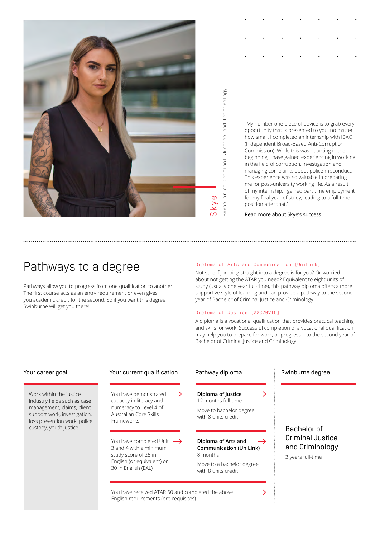

Bachelor of Criminal Justice and Criminology Criminal Justice and Criminology  $\overline{0}$ **Bachelor** 

"My number one piece of advice is to grab every opportunity that is presented to you, no matter how small. I completed an internship with IBAC (Independent Broad-Based Anti-Corruption Commission). While this was daunting in the beginning, I have gained experiencing in working in the field of corruption, investigation and managing complaints about police misconduct. This experience was so valuable in preparing me for post-university working life. As a result of my internship, I gained part time employment for my final year of study, leading to a full-time position after that."

[Read more about Skye's success](http://swinburne.edu.au/life-at-swinburne/work-integrated-learning/student-stories/skye-criminal-justice-criminology/)

## Pathways to a degree

Pathways allow you to progress from one qualification to another. The first course acts as an entry requirement or even gives you academic credit for the second. So if you want this degree, Swinburne will get you there!

### Diploma of Arts and Communication (UniLink)

Not sure if jumping straight into a degree is for you? Or worried about not getting the ATAR you need? Equivalent to eight units of study (usually one year full-time), this pathway diploma offers a more supportive style of learning and can provide a pathway to the second year of Bachelor of Criminal Justice and Criminology.

### Diploma of Justice (22320VIC)

A diploma is a vocational qualification that provides practical teaching and skills for work. Successful completion of a vocational qualification may help you to prepare for work, or progress into the second year of Bachelor of Criminal Justice and Criminology.

Work within the justice industry fields such as case management, claims, client support work, investigation, loss prevention work, police custody, youth justice

### Your career goal The Your current qualification Pathway diploma Swinburne degree

You have demonstrated capacity in literacy and numeracy to Level 4 of Australian Core Skills Frameworks

You have completed Unit  $\rightarrow$ 3 and 4 with a minimum study score of 25 in English (or equivalent) or 30 in English (EAL)

**Diploma of Justice** 12 months full-time

Move to bachelor degree with 8 units credit

### **Diploma of Arts and Communication (UniLink)** 8 months

Move to a bachelor degree with 8 units credit

You have received ATAR 60 and completed the above English requirements (pre-requisites)

### Bachelor of Criminal Justice and Criminology

3 years full-time